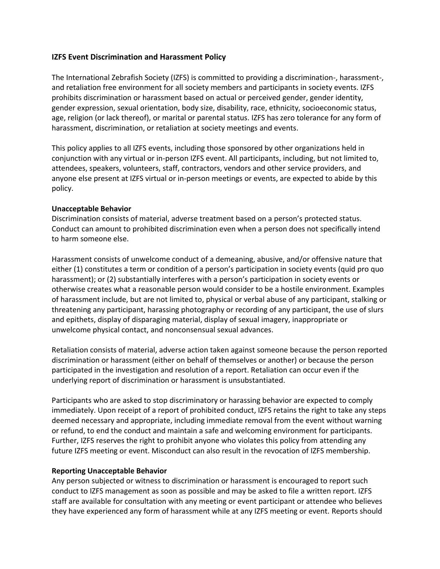## **IZFS Event Discrimination and Harassment Policy**

The International Zebrafish Society (IZFS) is committed to providing a discrimination-, harassment-, and retaliation free environment for all society members and participants in society events. IZFS prohibits discrimination or harassment based on actual or perceived gender, gender identity, gender expression, sexual orientation, body size, disability, race, ethnicity, socioeconomic status, age, religion (or lack thereof), or marital or parental status. IZFS has zero tolerance for any form of harassment, discrimination, or retaliation at society meetings and events.

This policy applies to all IZFS events, including those sponsored by other organizations held in conjunction with any virtual or in-person IZFS event. All participants, including, but not limited to, attendees, speakers, volunteers, staff, contractors, vendors and other service providers, and anyone else present at IZFS virtual or in-person meetings or events, are expected to abide by this policy.

## **Unacceptable Behavior**

Discrimination consists of material, adverse treatment based on a person's protected status. Conduct can amount to prohibited discrimination even when a person does not specifically intend to harm someone else.

Harassment consists of unwelcome conduct of a demeaning, abusive, and/or offensive nature that either (1) constitutes a term or condition of a person's participation in society events (quid pro quo harassment); or (2) substantially interferes with a person's participation in society events or otherwise creates what a reasonable person would consider to be a hostile environment. Examples of harassment include, but are not limited to, physical or verbal abuse of any participant, stalking or threatening any participant, harassing photography or recording of any participant, the use of slurs and epithets, display of disparaging material, display of sexual imagery, inappropriate or unwelcome physical contact, and nonconsensual sexual advances.

Retaliation consists of material, adverse action taken against someone because the person reported discrimination or harassment (either on behalf of themselves or another) or because the person participated in the investigation and resolution of a report. Retaliation can occur even if the underlying report of discrimination or harassment is unsubstantiated.

Participants who are asked to stop discriminatory or harassing behavior are expected to comply immediately. Upon receipt of a report of prohibited conduct, IZFS retains the right to take any steps deemed necessary and appropriate, including immediate removal from the event without warning or refund, to end the conduct and maintain a safe and welcoming environment for participants. Further, IZFS reserves the right to prohibit anyone who violates this policy from attending any future IZFS meeting or event. Misconduct can also result in the revocation of IZFS membership.

## **Reporting Unacceptable Behavior**

Any person subjected or witness to discrimination or harassment is encouraged to report such conduct to IZFS management as soon as possible and may be asked to file a written report. IZFS staff are available for consultation with any meeting or event participant or attendee who believes they have experienced any form of harassment while at any IZFS meeting or event. Reports should